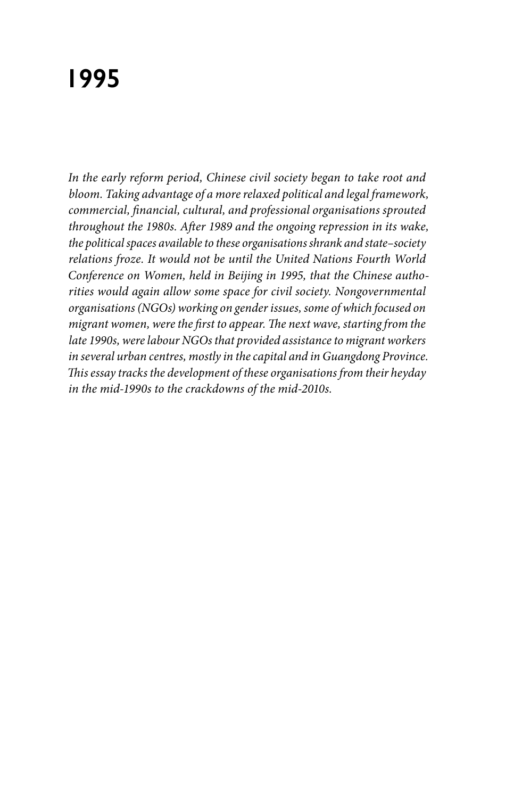# **1995**

*In the early reform period, Chinese civil society began to take root and bloom. Taking advantage of a more relaxed political and legal framework, commercial, financial, cultural, and professional organisations sprouted throughout the 1980s. After 1989 and the ongoing repression in its wake, the political spaces available to these organisations shrank and state–society relations froze. It would not be until the United Nations Fourth World Conference on Women, held in Beijing in 1995, that the Chinese authorities would again allow some space for civil society. Nongovernmental organisations (NGOs) working on gender issues, some of which focused on migrant women, were the first to appear. The next wave, starting from the late 1990s, were labour NGOs that provided assistance to migrant workers in several urban centres, mostly in the capital and in Guangdong Province. This essay tracks the development of these organisations from their heyday in the mid-1990s to the crackdowns of the mid-2010s.*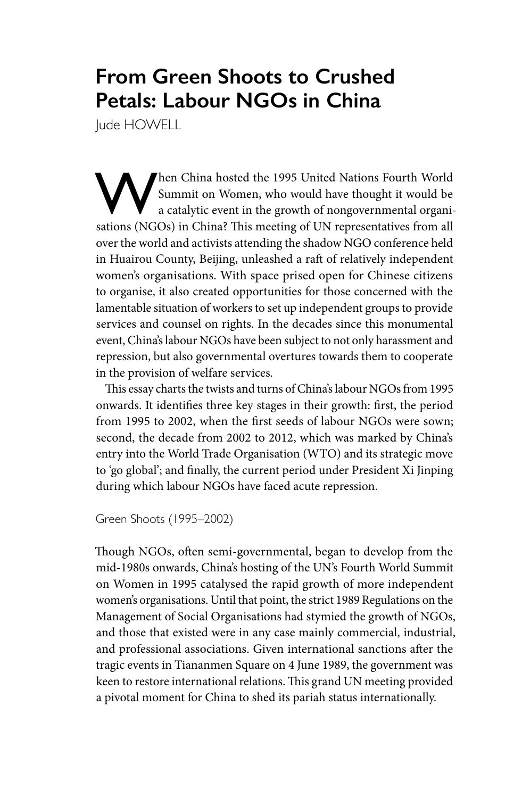## **From Green Shoots to Crushed Petals: Labour NGOs in China**

Jude HOWELL

Then China hosted the 1995 United Nations Fourth World<br>Summit on Women, who would have thought it would be<br>a catalytic event in the growth of nongovernmental organi-<br>setions (NGOs) in China? This meeting of UN representati Summit on Women, who would have thought it would be a catalytic event in the growth of nongovernmental organisations (NGOs) in China? This meeting of UN representatives from all over the world and activists attending the shadow NGO conference held in Huairou County, Beijing, unleashed a raft of relatively independent women's organisations. With space prised open for Chinese citizens to organise, it also created opportunities for those concerned with the lamentable situation of workers to set up independent groups to provide services and counsel on rights. In the decades since this monumental event, China's labour NGOs have been subject to not only harassment and repression, but also governmental overtures towards them to cooperate in the provision of welfare services.

This essay charts the twists and turns of China's labour NGOs from 1995 onwards. It identifies three key stages in their growth: first, the period from 1995 to 2002, when the first seeds of labour NGOs were sown; second, the decade from 2002 to 2012, which was marked by China's entry into the World Trade Organisation (WTO) and its strategic move to 'go global'; and finally, the current period under President Xi Jinping during which labour NGOs have faced acute repression.

#### Green Shoots (1995–2002)

Though NGOs, often semi-governmental, began to develop from the mid-1980s onwards, China's hosting of the UN's Fourth World Summit on Women in 1995 catalysed the rapid growth of more independent women's organisations. Until that point, the strict 1989 Regulations on the Management of Social Organisations had stymied the growth of NGOs, and those that existed were in any case mainly commercial, industrial, and professional associations. Given international sanctions after the tragic events in Tiananmen Square on 4 June 1989, the government was keen to restore international relations. This grand UN meeting provided a pivotal moment for China to shed its pariah status internationally.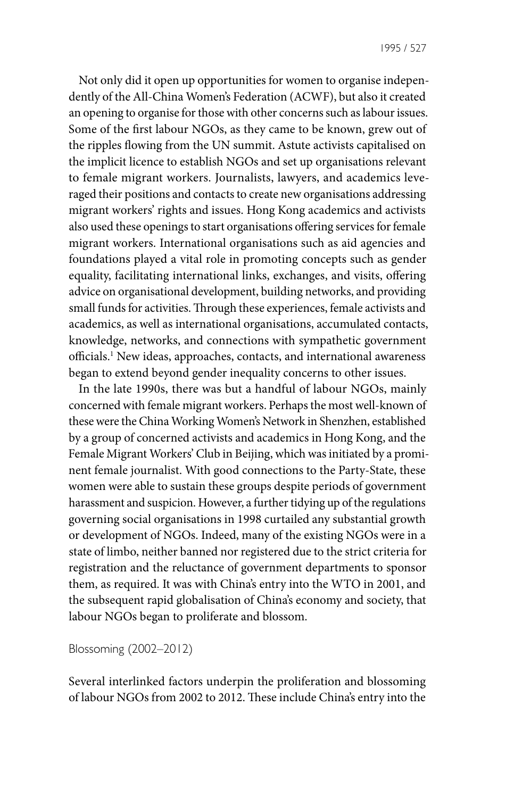Not only did it open up opportunities for women to organise independently of the All-China Women's Federation (ACWF), but also it created an opening to organise for those with other concerns such as labour issues. Some of the first labour NGOs, as they came to be known, grew out of the ripples flowing from the UN summit. Astute activists capitalised on the implicit licence to establish NGOs and set up organisations relevant to female migrant workers. Journalists, lawyers, and academics leveraged their positions and contacts to create new organisations addressing migrant workers' rights and issues. Hong Kong academics and activists also used these openings to start organisations offering services for female migrant workers. International organisations such as aid agencies and foundations played a vital role in promoting concepts such as gender equality, facilitating international links, exchanges, and visits, offering advice on organisational development, building networks, and providing small funds for activities. Through these experiences, female activists and academics, as well as international organisations, accumulated contacts, knowledge, networks, and connections with sympathetic government officials.1 New ideas, approaches, contacts, and international awareness began to extend beyond gender inequality concerns to other issues.

In the late 1990s, there was but a handful of labour NGOs, mainly concerned with female migrant workers. Perhaps the most well-known of these were the China Working Women's Network in Shenzhen, established by a group of concerned activists and academics in Hong Kong, and the Female Migrant Workers' Club in Beijing, which was initiated by a prominent female journalist. With good connections to the Party-State, these women were able to sustain these groups despite periods of government harassment and suspicion. However, a further tidying up of the regulations governing social organisations in 1998 curtailed any substantial growth or development of NGOs. Indeed, many of the existing NGOs were in a state of limbo, neither banned nor registered due to the strict criteria for registration and the reluctance of government departments to sponsor them, as required. It was with China's entry into the WTO in 2001, and the subsequent rapid globalisation of China's economy and society, that labour NGOs began to proliferate and blossom.

#### Blossoming (2002–2012)

Several interlinked factors underpin the proliferation and blossoming of labour NGOs from 2002 to 2012. These include China's entry into the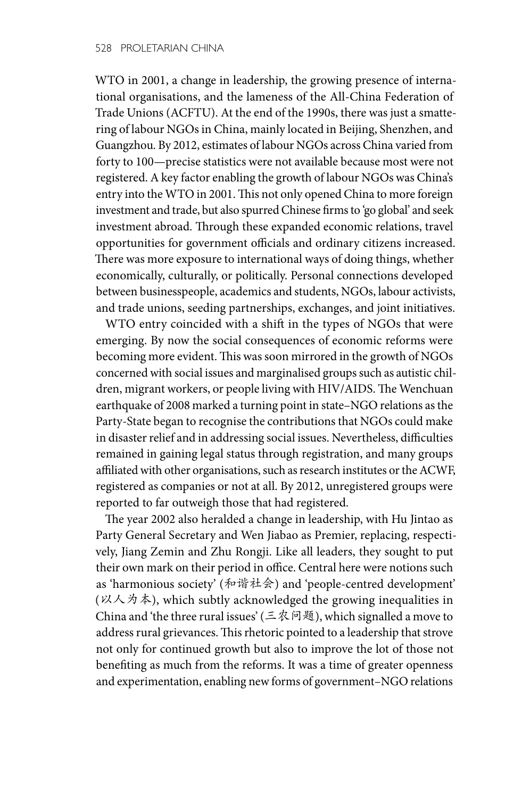WTO in 2001, a change in leadership, the growing presence of international organisations, and the lameness of the All-China Federation of Trade Unions (ACFTU). At the end of the 1990s, there was just a smattering of labour NGOs in China, mainly located in Beijing, Shenzhen, and Guangzhou. By 2012, estimates of labour NGOs across China varied from forty to 100—precise statistics were not available because most were not registered. A key factor enabling the growth of labour NGOs was China's entry into the WTO in 2001. This not only opened China to more foreign investment and trade, but also spurred Chinese firms to 'go global' and seek investment abroad. Through these expanded economic relations, travel opportunities for government officials and ordinary citizens increased. There was more exposure to international ways of doing things, whether economically, culturally, or politically. Personal connections developed between businesspeople, academics and students, NGOs, labour activists, and trade unions, seeding partnerships, exchanges, and joint initiatives.

WTO entry coincided with a shift in the types of NGOs that were emerging. By now the social consequences of economic reforms were becoming more evident. This was soon mirrored in the growth of NGOs concerned with social issues and marginalised groups such as autistic children, migrant workers, or people living with HIV/AIDS. The Wenchuan earthquake of 2008 marked a turning point in state–NGO relations as the Party-State began to recognise the contributions that NGOs could make in disaster relief and in addressing social issues. Nevertheless, difficulties remained in gaining legal status through registration, and many groups affiliated with other organisations, such as research institutes or the ACWF, registered as companies or not at all. By 2012, unregistered groups were reported to far outweigh those that had registered.

The year 2002 also heralded a change in leadership, with Hu Jintao as Party General Secretary and Wen Jiabao as Premier, replacing, respectively, Jiang Zemin and Zhu Rongji. Like all leaders, they sought to put their own mark on their period in office. Central here were notions such as 'harmonious society' (和谐社会) and 'people-centred development' (以人为本), which subtly acknowledged the growing inequalities in China and 'the three rural issues' (三农问题), which signalled a move to address rural grievances. This rhetoric pointed to a leadership that strove not only for continued growth but also to improve the lot of those not benefiting as much from the reforms. It was a time of greater openness and experimentation, enabling new forms of government–NGO relations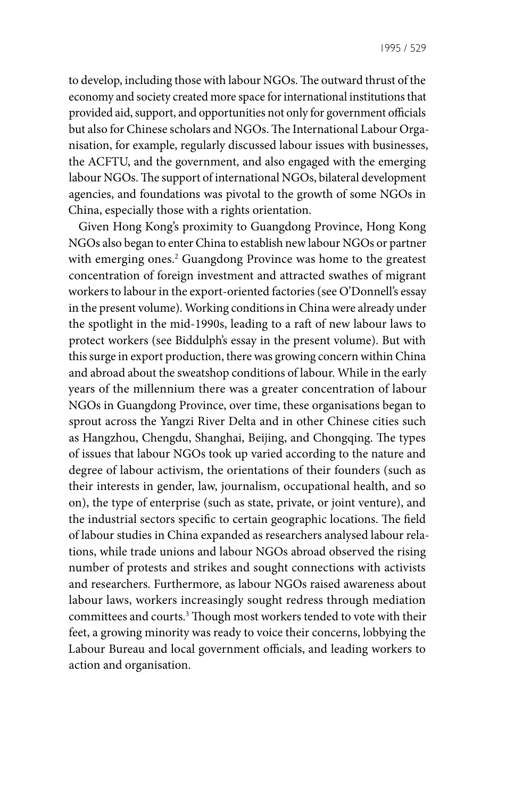to develop, including those with labour NGOs. The outward thrust of the economy and society created more space for international institutions that provided aid, support, and opportunities not only for government officials but also for Chinese scholars and NGOs. The International Labour Organisation, for example, regularly discussed labour issues with businesses, the ACFTU, and the government, and also engaged with the emerging labour NGOs. The support of international NGOs, bilateral development agencies, and foundations was pivotal to the growth of some NGOs in China, especially those with a rights orientation.

Given Hong Kong's proximity to Guangdong Province, Hong Kong NGOs also began to enter China to establish new labour NGOs or partner with emerging ones.<sup>2</sup> Guangdong Province was home to the greatest concentration of foreign investment and attracted swathes of migrant workers to labour in the export-oriented factories (see O'Donnell's essay in the present volume). Working conditions in China were already under the spotlight in the mid-1990s, leading to a raft of new labour laws to protect workers (see Biddulph's essay in the present volume). But with this surge in export production, there was growing concern within China and abroad about the sweatshop conditions of labour. While in the early years of the millennium there was a greater concentration of labour NGOs in Guangdong Province, over time, these organisations began to sprout across the Yangzi River Delta and in other Chinese cities such as Hangzhou, Chengdu, Shanghai, Beijing, and Chongqing. The types of issues that labour NGOs took up varied according to the nature and degree of labour activism, the orientations of their founders (such as their interests in gender, law, journalism, occupational health, and so on), the type of enterprise (such as state, private, or joint venture), and the industrial sectors specific to certain geographic locations. The field of labour studies in China expanded as researchers analysed labour relations, while trade unions and labour NGOs abroad observed the rising number of protests and strikes and sought connections with activists and researchers. Furthermore, as labour NGOs raised awareness about labour laws, workers increasingly sought redress through mediation committees and courts.3 Though most workers tended to vote with their feet, a growing minority was ready to voice their concerns, lobbying the Labour Bureau and local government officials, and leading workers to action and organisation.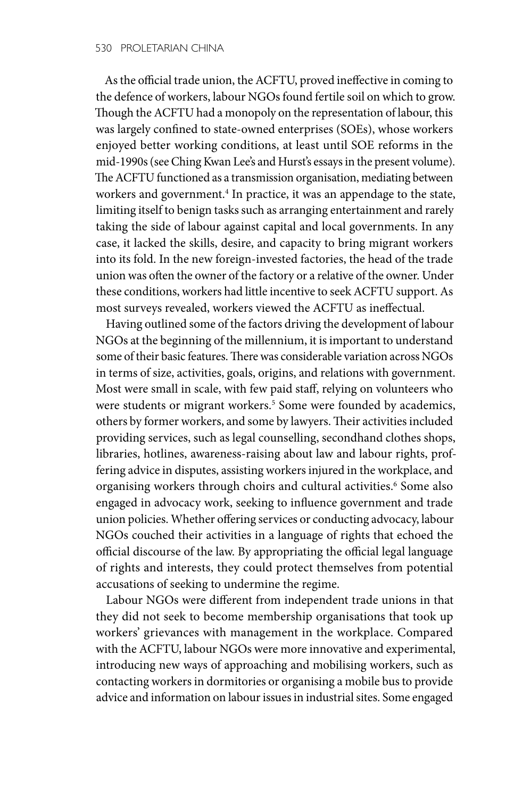As the official trade union, the ACFTU, proved ineffective in coming to the defence of workers, labour NGOs found fertile soil on which to grow. Though the ACFTU had a monopoly on the representation of labour, this was largely confined to state-owned enterprises (SOEs), whose workers enjoyed better working conditions, at least until SOE reforms in the mid-1990s (see Ching Kwan Lee's and Hurst's essays in the present volume). The ACFTU functioned as a transmission organisation, mediating between workers and government.4 In practice, it was an appendage to the state, limiting itself to benign tasks such as arranging entertainment and rarely taking the side of labour against capital and local governments. In any case, it lacked the skills, desire, and capacity to bring migrant workers into its fold. In the new foreign-invested factories, the head of the trade union was often the owner of the factory or a relative of the owner. Under these conditions, workers had little incentive to seek ACFTU support. As most surveys revealed, workers viewed the ACFTU as ineffectual.

Having outlined some of the factors driving the development of labour NGOs at the beginning of the millennium, it is important to understand some of their basic features. There was considerable variation across NGOs in terms of size, activities, goals, origins, and relations with government. Most were small in scale, with few paid staff, relying on volunteers who were students or migrant workers.<sup>5</sup> Some were founded by academics, others by former workers, and some by lawyers. Their activities included providing services, such as legal counselling, secondhand clothes shops, libraries, hotlines, awareness-raising about law and labour rights, proffering advice in disputes, assisting workers injured in the workplace, and organising workers through choirs and cultural activities.<sup>6</sup> Some also engaged in advocacy work, seeking to influence government and trade union policies. Whether offering services or conducting advocacy, labour NGOs couched their activities in a language of rights that echoed the official discourse of the law. By appropriating the official legal language of rights and interests, they could protect themselves from potential accusations of seeking to undermine the regime.

Labour NGOs were different from independent trade unions in that they did not seek to become membership organisations that took up workers' grievances with management in the workplace. Compared with the ACFTU, labour NGOs were more innovative and experimental, introducing new ways of approaching and mobilising workers, such as contacting workers in dormitories or organising a mobile bus to provide advice and information on labour issues in industrial sites. Some engaged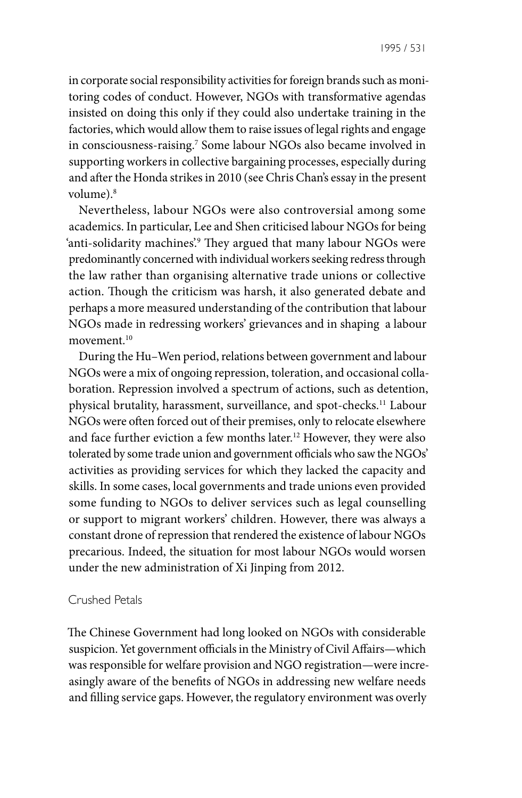in corporate social responsibility activities for foreign brands such as monitoring codes of conduct. However, NGOs with transformative agendas insisted on doing this only if they could also undertake training in the factories, which would allow them to raise issues of legal rights and engage in consciousness-raising.7 Some labour NGOs also became involved in supporting workers in collective bargaining processes, especially during and after the Honda strikes in 2010 (see Chris Chan's essay in the present volume).8

Nevertheless, labour NGOs were also controversial among some academics. In particular, Lee and Shen criticised labour NGOs for being 'anti-solidarity machines'.9 They argued that many labour NGOs were predominantly concerned with individual workers seeking redress through the law rather than organising alternative trade unions or collective action. Though the criticism was harsh, it also generated debate and perhaps a more measured understanding of the contribution that labour NGOs made in redressing workers' grievances and in shaping a labour movement.10

During the Hu–Wen period, relations between government and labour NGOs were a mix of ongoing repression, toleration, and occasional collaboration. Repression involved a spectrum of actions, such as detention, physical brutality, harassment, surveillance, and spot-checks.11 Labour NGOs were often forced out of their premises, only to relocate elsewhere and face further eviction a few months later.12 However, they were also tolerated by some trade union and government officials who saw the NGOs' activities as providing services for which they lacked the capacity and skills. In some cases, local governments and trade unions even provided some funding to NGOs to deliver services such as legal counselling or support to migrant workers' children. However, there was always a constant drone of repression that rendered the existence of labour NGOs precarious. Indeed, the situation for most labour NGOs would worsen under the new administration of Xi Jinping from 2012.

#### Crushed Petals

The Chinese Government had long looked on NGOs with considerable suspicion. Yet government officials in the Ministry of Civil Affairs—which was responsible for welfare provision and NGO registration—were increasingly aware of the benefits of NGOs in addressing new welfare needs and filling service gaps. However, the regulatory environment was overly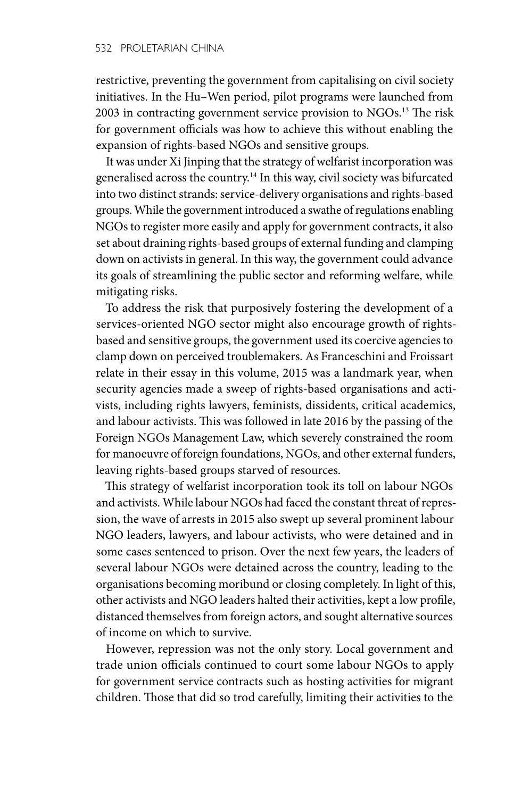restrictive, preventing the government from capitalising on civil society initiatives. In the Hu–Wen period, pilot programs were launched from 2003 in contracting government service provision to NGOs.<sup>13</sup> The risk for government officials was how to achieve this without enabling the expansion of rights-based NGOs and sensitive groups.

It was under Xi Jinping that the strategy of welfarist incorporation was generalised across the country.<sup>14</sup> In this way, civil society was bifurcated into two distinct strands: service-delivery organisations and rights-based groups. While the government introduced a swathe of regulations enabling NGOs to register more easily and apply for government contracts, it also set about draining rights-based groups of external funding and clamping down on activists in general. In this way, the government could advance its goals of streamlining the public sector and reforming welfare, while mitigating risks.

To address the risk that purposively fostering the development of a services-oriented NGO sector might also encourage growth of rightsbased and sensitive groups, the government used its coercive agencies to clamp down on perceived troublemakers. As Franceschini and Froissart relate in their essay in this volume, 2015 was a landmark year, when security agencies made a sweep of rights-based organisations and activists, including rights lawyers, feminists, dissidents, critical academics, and labour activists. This was followed in late 2016 by the passing of the Foreign NGOs Management Law, which severely constrained the room for manoeuvre of foreign foundations, NGOs, and other external funders, leaving rights-based groups starved of resources.

This strategy of welfarist incorporation took its toll on labour NGOs and activists. While labour NGOs had faced the constant threat of repression, the wave of arrests in 2015 also swept up several prominent labour NGO leaders, lawyers, and labour activists, who were detained and in some cases sentenced to prison. Over the next few years, the leaders of several labour NGOs were detained across the country, leading to the organisations becoming moribund or closing completely. In light of this, other activists and NGO leaders halted their activities, kept a low profile, distanced themselves from foreign actors, and sought alternative sources of income on which to survive.

However, repression was not the only story. Local government and trade union officials continued to court some labour NGOs to apply for government service contracts such as hosting activities for migrant children. Those that did so trod carefully, limiting their activities to the